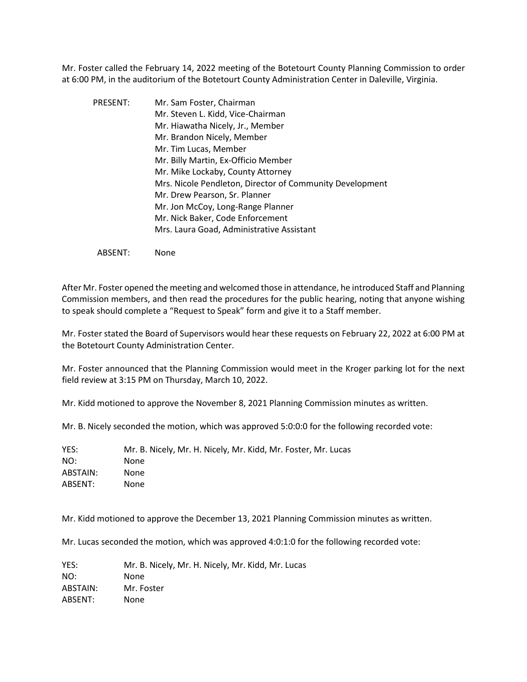Mr. Foster called the February 14, 2022 meeting of the Botetourt County Planning Commission to order at 6:00 PM, in the auditorium of the Botetourt County Administration Center in Daleville, Virginia.

PRESENT: Mr. Sam Foster, Chairman Mr. Steven L. Kidd, Vice-Chairman Mr. Hiawatha Nicely, Jr., Member Mr. Brandon Nicely, Member Mr. Tim Lucas, Member Mr. Billy Martin, Ex-Officio Member Mr. Mike Lockaby, County Attorney Mrs. Nicole Pendleton, Director of Community Development Mr. Drew Pearson, Sr. Planner Mr. Jon McCoy, Long-Range Planner Mr. Nick Baker, Code Enforcement Mrs. Laura Goad, Administrative Assistant

ABSENT: None

After Mr. Foster opened the meeting and welcomed those in attendance, he introduced Staff and Planning Commission members, and then read the procedures for the public hearing, noting that anyone wishing to speak should complete a "Request to Speak" form and give it to a Staff member.

Mr. Foster stated the Board of Supervisors would hear these requests on February 22, 2022 at 6:00 PM at the Botetourt County Administration Center.

Mr. Foster announced that the Planning Commission would meet in the Kroger parking lot for the next field review at 3:15 PM on Thursday, March 10, 2022.

Mr. Kidd motioned to approve the November 8, 2021 Planning Commission minutes as written.

Mr. B. Nicely seconded the motion, which was approved 5:0:0:0 for the following recorded vote:

| YES:     | Mr. B. Nicely, Mr. H. Nicely, Mr. Kidd, Mr. Foster, Mr. Lucas |
|----------|---------------------------------------------------------------|
| NO:      | None                                                          |
| ABSTAIN: | None                                                          |
| ABSENT:  | None                                                          |

Mr. Kidd motioned to approve the December 13, 2021 Planning Commission minutes as written.

Mr. Lucas seconded the motion, which was approved 4:0:1:0 for the following recorded vote:

YES: Mr. B. Nicely, Mr. H. Nicely, Mr. Kidd, Mr. Lucas NO: None ABSTAIN: Mr. Foster ABSENT: None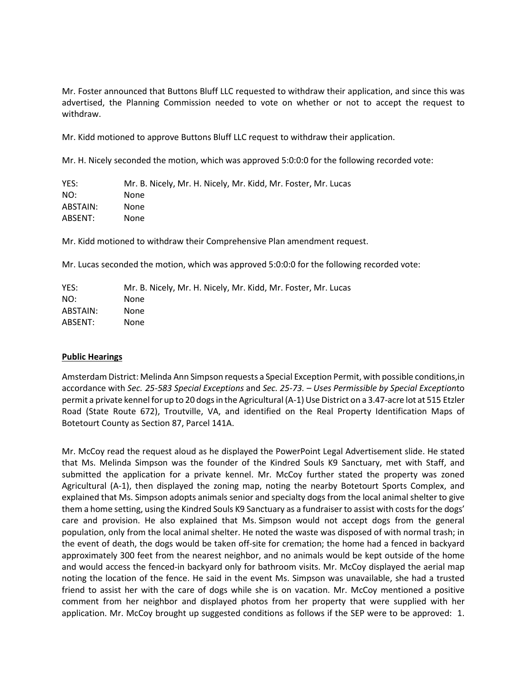Mr. Foster announced that Buttons Bluff LLC requested to withdraw their application, and since this was advertised, the Planning Commission needed to vote on whether or not to accept the request to withdraw.

Mr. Kidd motioned to approve Buttons Bluff LLC request to withdraw their application.

Mr. H. Nicely seconded the motion, which was approved 5:0:0:0 for the following recorded vote:

YES: Mr. B. Nicely, Mr. H. Nicely, Mr. Kidd, Mr. Foster, Mr. Lucas NO: None ABSTAIN: None ABSENT: None

Mr. Kidd motioned to withdraw their Comprehensive Plan amendment request.

Mr. Lucas seconded the motion, which was approved 5:0:0:0 for the following recorded vote:

| YES:     | Mr. B. Nicely, Mr. H. Nicely, Mr. Kidd, Mr. Foster, Mr. Lucas |
|----------|---------------------------------------------------------------|
| NO:      | None                                                          |
| ABSTAIN: | None                                                          |
| ABSENT:  | None.                                                         |

# **Public Hearings**

AmsterdamDistrict: Melinda Ann Simpson requests a Special Exception Permit, with possible conditions,in accordance with *Sec. 25-583 Special Exceptions* and *Sec. 25-73. – Uses Permissible by Special Exception*to permit a private kennel for up to 20 dogs in the Agricultural (A-1) Use District on a 3.47-acre lot at 515 Etzler Road (State Route 672), Troutville, VA, and identified on the Real Property Identification Maps of Botetourt County as Section 87, Parcel 141A.

Mr. McCoy read the request aloud as he displayed the PowerPoint Legal Advertisement slide. He stated that Ms. Melinda Simpson was the founder of the Kindred Souls K9 Sanctuary, met with Staff, and submitted the application for a private kennel. Mr. McCoy further stated the property was zoned Agricultural (A-1), then displayed the zoning map, noting the nearby Botetourt Sports Complex, and explained that Ms. Simpson adopts animals senior and specialty dogs from the local animal shelter to give them a home setting, using the Kindred Souls K9 Sanctuary as a fundraiser to assist with costs for the dogs' care and provision. He also explained that Ms. Simpson would not accept dogs from the general population, only from the local animal shelter. He noted the waste was disposed of with normal trash; in the event of death, the dogs would be taken off-site for cremation; the home had a fenced in backyard approximately 300 feet from the nearest neighbor, and no animals would be kept outside of the home and would access the fenced-in backyard only for bathroom visits. Mr. McCoy displayed the aerial map noting the location of the fence. He said in the event Ms. Simpson was unavailable, she had a trusted friend to assist her with the care of dogs while she is on vacation. Mr. McCoy mentioned a positive comment from her neighbor and displayed photos from her property that were supplied with her application. Mr. McCoy brought up suggested conditions as follows if the SEP were to be approved: 1.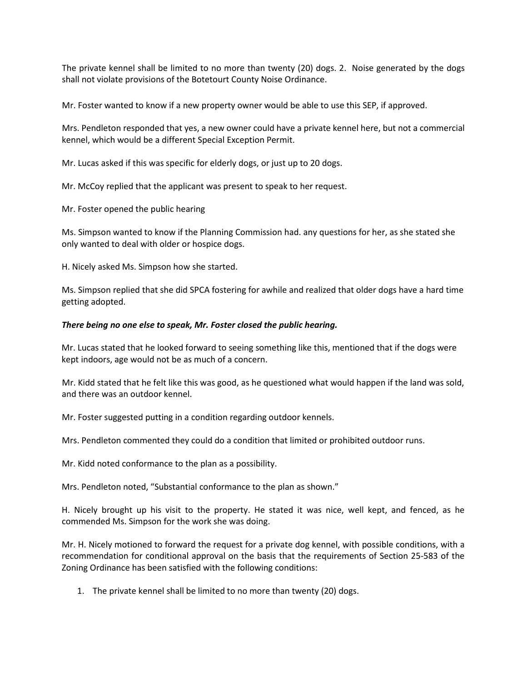The private kennel shall be limited to no more than twenty (20) dogs. 2. Noise generated by the dogs shall not violate provisions of the Botetourt County Noise Ordinance.

Mr. Foster wanted to know if a new property owner would be able to use this SEP, if approved.

Mrs. Pendleton responded that yes, a new owner could have a private kennel here, but not a commercial kennel, which would be a different Special Exception Permit.

Mr. Lucas asked if this was specific for elderly dogs, or just up to 20 dogs.

Mr. McCoy replied that the applicant was present to speak to her request.

Mr. Foster opened the public hearing

Ms. Simpson wanted to know if the Planning Commission had. any questions for her, as she stated she only wanted to deal with older or hospice dogs.

H. Nicely asked Ms. Simpson how she started.

Ms. Simpson replied that she did SPCA fostering for awhile and realized that older dogs have a hard time getting adopted.

## *There being no one else to speak, Mr. Foster closed the public hearing.*

Mr. Lucas stated that he looked forward to seeing something like this, mentioned that if the dogs were kept indoors, age would not be as much of a concern.

Mr. Kidd stated that he felt like this was good, as he questioned what would happen if the land was sold, and there was an outdoor kennel.

Mr. Foster suggested putting in a condition regarding outdoor kennels.

Mrs. Pendleton commented they could do a condition that limited or prohibited outdoor runs.

Mr. Kidd noted conformance to the plan as a possibility.

Mrs. Pendleton noted, "Substantial conformance to the plan as shown."

H. Nicely brought up his visit to the property. He stated it was nice, well kept, and fenced, as he commended Ms. Simpson for the work she was doing.

Mr. H. Nicely motioned to forward the request for a private dog kennel, with possible conditions, with a recommendation for conditional approval on the basis that the requirements of Section 25-583 of the Zoning Ordinance has been satisfied with the following conditions:

1. The private kennel shall be limited to no more than twenty (20) dogs.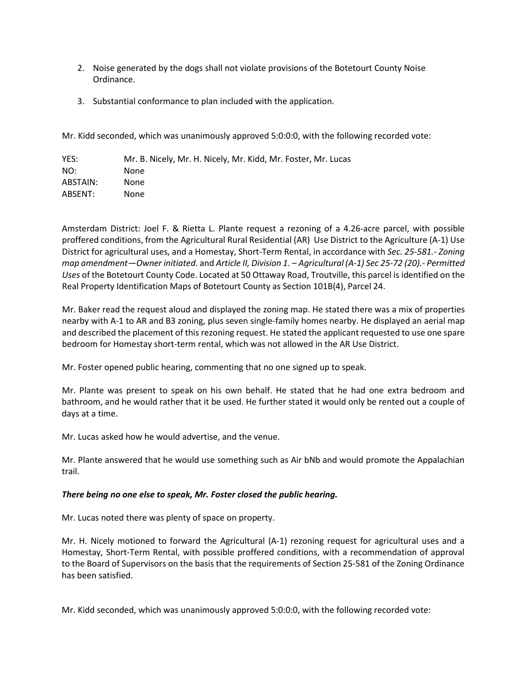- 2. Noise generated by the dogs shall not violate provisions of the Botetourt County Noise Ordinance.
- 3. Substantial conformance to plan included with the application.

Mr. Kidd seconded, which was unanimously approved 5:0:0:0, with the following recorded vote:

| YES:     | Mr. B. Nicely, Mr. H. Nicely, Mr. Kidd, Mr. Foster, Mr. Lucas |
|----------|---------------------------------------------------------------|
| NO:      | None                                                          |
| ABSTAIN: | None                                                          |
| ABSENT:  | None                                                          |

Amsterdam District: Joel F. & Rietta L. Plante request a rezoning of a 4.26-acre parcel, with possible proffered conditions, from the Agricultural Rural Residential (AR) Use District to the Agriculture (A-1) Use District for agricultural uses, and a Homestay, Short-Term Rental, in accordance with *Sec. 25-581.- Zoning map amendment—Owner initiated.* and *Article II, Division 1. – Agricultural (A-1) Sec 25-72 (20).- Permitted Uses* of the Botetourt County Code. Located at 50 Ottaway Road, Troutville, this parcel is identified on the Real Property Identification Maps of Botetourt County as Section 101B(4), Parcel 24.

Mr. Baker read the request aloud and displayed the zoning map. He stated there was a mix of properties nearby with A-1 to AR and B3 zoning, plus seven single-family homes nearby. He displayed an aerial map and described the placement of this rezoning request. He stated the applicant requested to use one spare bedroom for Homestay short-term rental, which was not allowed in the AR Use District.

Mr. Foster opened public hearing, commenting that no one signed up to speak.

Mr. Plante was present to speak on his own behalf. He stated that he had one extra bedroom and bathroom, and he would rather that it be used. He further stated it would only be rented out a couple of days at a time.

Mr. Lucas asked how he would advertise, and the venue.

Mr. Plante answered that he would use something such as Air bNb and would promote the Appalachian trail.

# *There being no one else to speak, Mr. Foster closed the public hearing.*

Mr. Lucas noted there was plenty of space on property.

Mr. H. Nicely motioned to forward the Agricultural (A-1) rezoning request for agricultural uses and a Homestay, Short-Term Rental, with possible proffered conditions, with a recommendation of approval to the Board of Supervisors on the basis that the requirements of Section 25-581 of the Zoning Ordinance has been satisfied.

Mr. Kidd seconded, which was unanimously approved 5:0:0:0, with the following recorded vote: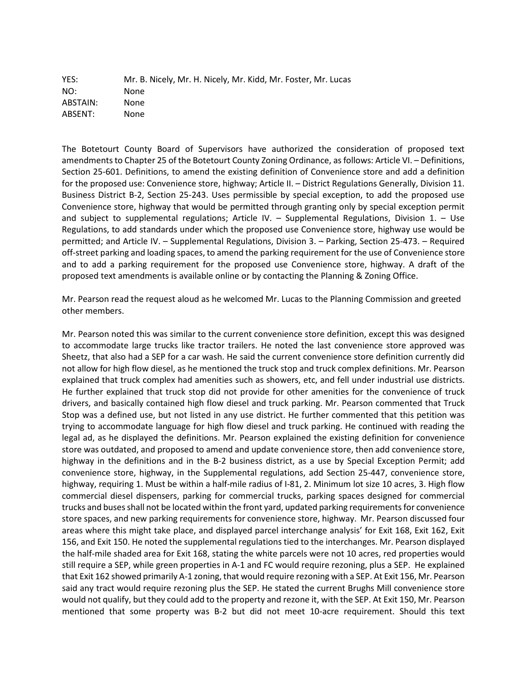YES: Mr. B. Nicely, Mr. H. Nicely, Mr. Kidd, Mr. Foster, Mr. Lucas NO: None ABSTAIN: None ABSENT: None

The Botetourt County Board of Supervisors have authorized the consideration of proposed text amendments to Chapter 25 of the Botetourt County Zoning Ordinance, as follows: Article VI. - Definitions, Section 25-601. Definitions, to amend the existing definition of Convenience store and add a definition for the proposed use: Convenience store, highway; Article II. – District Regulations Generally, Division 11. Business District B-2, Section 25-243. Uses permissible by special exception, to add the proposed use Convenience store, highway that would be permitted through granting only by special exception permit and subject to supplemental regulations; Article IV. – Supplemental Regulations, Division 1. – Use Regulations, to add standards under which the proposed use Convenience store, highway use would be permitted; and Article IV. – Supplemental Regulations, Division 3. – Parking, Section 25-473. – Required off-street parking and loading spaces, to amend the parking requirement for the use of Convenience store and to add a parking requirement for the proposed use Convenience store, highway. A draft of the proposed text amendments is available online or by contacting the Planning & Zoning Office.

Mr. Pearson read the request aloud as he welcomed Mr. Lucas to the Planning Commission and greeted other members.

Mr. Pearson noted this was similar to the current convenience store definition, except this was designed to accommodate large trucks like tractor trailers. He noted the last convenience store approved was Sheetz, that also had a SEP for a car wash. He said the current convenience store definition currently did not allow for high flow diesel, as he mentioned the truck stop and truck complex definitions. Mr. Pearson explained that truck complex had amenities such as showers, etc, and fell under industrial use districts. He further explained that truck stop did not provide for other amenities for the convenience of truck drivers, and basically contained high flow diesel and truck parking. Mr. Pearson commented that Truck Stop was a defined use, but not listed in any use district. He further commented that this petition was trying to accommodate language for high flow diesel and truck parking. He continued with reading the legal ad, as he displayed the definitions. Mr. Pearson explained the existing definition for convenience store was outdated, and proposed to amend and update convenience store, then add convenience store, highway in the definitions and in the B-2 business district, as a use by Special Exception Permit; add convenience store, highway, in the Supplemental regulations, add Section 25-447, convenience store, highway, requiring 1. Must be within a half-mile radius of I-81, 2. Minimum lot size 10 acres, 3. High flow commercial diesel dispensers, parking for commercial trucks, parking spaces designed for commercial trucks and buses shall not be located within the front yard, updated parking requirements for convenience store spaces, and new parking requirements for convenience store, highway. Mr. Pearson discussed four areas where this might take place, and displayed parcel interchange analysis' for Exit 168, Exit 162, Exit 156, and Exit 150. He noted the supplemental regulations tied to the interchanges. Mr. Pearson displayed the half-mile shaded area for Exit 168, stating the white parcels were not 10 acres, red properties would still require a SEP, while green properties in A-1 and FC would require rezoning, plus a SEP. He explained that Exit 162 showed primarily A-1 zoning, that would require rezoning with a SEP. At Exit 156, Mr. Pearson said any tract would require rezoning plus the SEP. He stated the current Brughs Mill convenience store would not qualify, but they could add to the property and rezone it, with the SEP. At Exit 150, Mr. Pearson mentioned that some property was B-2 but did not meet 10-acre requirement. Should this text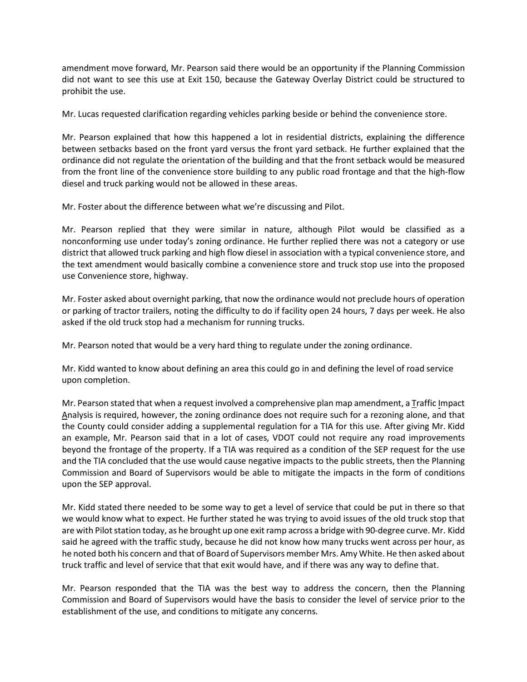amendment move forward, Mr. Pearson said there would be an opportunity if the Planning Commission did not want to see this use at Exit 150, because the Gateway Overlay District could be structured to prohibit the use.

Mr. Lucas requested clarification regarding vehicles parking beside or behind the convenience store.

Mr. Pearson explained that how this happened a lot in residential districts, explaining the difference between setbacks based on the front yard versus the front yard setback. He further explained that the ordinance did not regulate the orientation of the building and that the front setback would be measured from the front line of the convenience store building to any public road frontage and that the high-flow diesel and truck parking would not be allowed in these areas.

Mr. Foster about the difference between what we're discussing and Pilot.

Mr. Pearson replied that they were similar in nature, although Pilot would be classified as a nonconforming use under today's zoning ordinance. He further replied there was not a category or use district that allowed truck parking and high flow diesel in association with a typical convenience store, and the text amendment would basically combine a convenience store and truck stop use into the proposed use Convenience store, highway.

Mr. Foster asked about overnight parking, that now the ordinance would not preclude hours of operation or parking of tractor trailers, noting the difficulty to do if facility open 24 hours, 7 days per week. He also asked if the old truck stop had a mechanism for running trucks.

Mr. Pearson noted that would be a very hard thing to regulate under the zoning ordinance.

Mr. Kidd wanted to know about defining an area this could go in and defining the level of road service upon completion.

Mr. Pearson stated that when a request involved a comprehensive plan map amendment, a Traffic Impact Analysis is required, however, the zoning ordinance does not require such for a rezoning alone, and that the County could consider adding a supplemental regulation for a TIA for this use. After giving Mr. Kidd an example, Mr. Pearson said that in a lot of cases, VDOT could not require any road improvements beyond the frontage of the property. If a TIA was required as a condition of the SEP request for the use and the TIA concluded that the use would cause negative impacts to the public streets, then the Planning Commission and Board of Supervisors would be able to mitigate the impacts in the form of conditions upon the SEP approval.

Mr. Kidd stated there needed to be some way to get a level of service that could be put in there so that we would know what to expect. He further stated he was trying to avoid issues of the old truck stop that are with Pilot station today, as he brought up one exit ramp across a bridge with 90-degree curve. Mr. Kidd said he agreed with the traffic study, because he did not know how many trucks went across per hour, as he noted both his concern and that of Board of Supervisors member Mrs. Amy White. He then asked about truck traffic and level of service that that exit would have, and if there was any way to define that.

Mr. Pearson responded that the TIA was the best way to address the concern, then the Planning Commission and Board of Supervisors would have the basis to consider the level of service prior to the establishment of the use, and conditions to mitigate any concerns.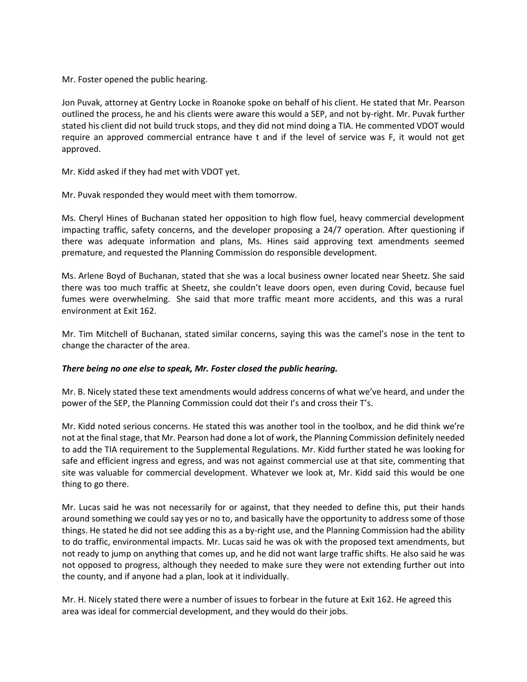Mr. Foster opened the public hearing.

Jon Puvak, attorney at Gentry Locke in Roanoke spoke on behalf of his client. He stated that Mr. Pearson outlined the process, he and his clients were aware this would a SEP, and not by-right. Mr. Puvak further stated his client did not build truck stops, and they did not mind doing a TIA. He commented VDOT would require an approved commercial entrance have t and if the level of service was F, it would not get approved.

Mr. Kidd asked if they had met with VDOT yet.

Mr. Puvak responded they would meet with them tomorrow.

Ms. Cheryl Hines of Buchanan stated her opposition to high flow fuel, heavy commercial development impacting traffic, safety concerns, and the developer proposing a 24/7 operation. After questioning if there was adequate information and plans, Ms. Hines said approving text amendments seemed premature, and requested the Planning Commission do responsible development.

Ms. Arlene Boyd of Buchanan, stated that she was a local business owner located near Sheetz. She said there was too much traffic at Sheetz, she couldn't leave doors open, even during Covid, because fuel fumes were overwhelming. She said that more traffic meant more accidents, and this was a rural environment at Exit 162.

Mr. Tim Mitchell of Buchanan, stated similar concerns, saying this was the camel's nose in the tent to change the character of the area.

### *There being no one else to speak, Mr. Foster closed the public hearing.*

Mr. B. Nicely stated these text amendments would address concerns of what we've heard, and under the power of the SEP, the Planning Commission could dot their I's and cross their T's.

Mr. Kidd noted serious concerns. He stated this was another tool in the toolbox, and he did think we're not at the final stage, that Mr. Pearson had done a lot of work, the Planning Commission definitely needed to add the TIA requirement to the Supplemental Regulations. Mr. Kidd further stated he was looking for safe and efficient ingress and egress, and was not against commercial use at that site, commenting that site was valuable for commercial development. Whatever we look at, Mr. Kidd said this would be one thing to go there.

Mr. Lucas said he was not necessarily for or against, that they needed to define this, put their hands around something we could say yes or no to, and basically have the opportunity to address some of those things. He stated he did not see adding this as a by-right use, and the Planning Commission had the ability to do traffic, environmental impacts. Mr. Lucas said he was ok with the proposed text amendments, but not ready to jump on anything that comes up, and he did not want large traffic shifts. He also said he was not opposed to progress, although they needed to make sure they were not extending further out into the county, and if anyone had a plan, look at it individually.

Mr. H. Nicely stated there were a number of issues to forbear in the future at Exit 162. He agreed this area was ideal for commercial development, and they would do their jobs.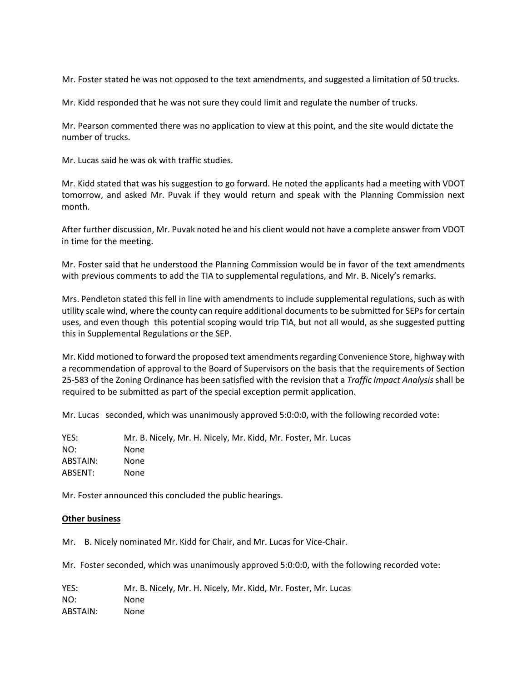Mr. Foster stated he was not opposed to the text amendments, and suggested a limitation of 50 trucks.

Mr. Kidd responded that he was not sure they could limit and regulate the number of trucks.

Mr. Pearson commented there was no application to view at this point, and the site would dictate the number of trucks.

Mr. Lucas said he was ok with traffic studies.

Mr. Kidd stated that was his suggestion to go forward. He noted the applicants had a meeting with VDOT tomorrow, and asked Mr. Puvak if they would return and speak with the Planning Commission next month.

After further discussion, Mr. Puvak noted he and his client would not have a complete answer from VDOT in time for the meeting.

Mr. Foster said that he understood the Planning Commission would be in favor of the text amendments with previous comments to add the TIA to supplemental regulations, and Mr. B. Nicely's remarks.

Mrs. Pendleton stated this fell in line with amendments to include supplemental regulations, such as with utility scale wind, where the county can require additional documentsto be submitted for SEPs for certain uses, and even though this potential scoping would trip TIA, but not all would, as she suggested putting this in Supplemental Regulations or the SEP.

Mr. Kidd motioned to forward the proposed text amendments regarding Convenience Store, highway with a recommendation of approval to the Board of Supervisors on the basis that the requirements of Section 25-583 of the Zoning Ordinance has been satisfied with the revision that a *Traffic Impact Analysis* shall be required to be submitted as part of the special exception permit application.

Mr. Lucas seconded, which was unanimously approved 5:0:0:0, with the following recorded vote:

| YES:     | Mr. B. Nicely, Mr. H. Nicely, Mr. Kidd, Mr. Foster, Mr. Lucas |
|----------|---------------------------------------------------------------|
| NO:      | None                                                          |
| ABSTAIN: | None                                                          |
| ABSENT:  | None                                                          |

Mr. Foster announced this concluded the public hearings.

### **Other business**

Mr. B. Nicely nominated Mr. Kidd for Chair, and Mr. Lucas for Vice-Chair.

Mr. Foster seconded, which was unanimously approved 5:0:0:0, with the following recorded vote:

YES: Mr. B. Nicely, Mr. H. Nicely, Mr. Kidd, Mr. Foster, Mr. Lucas NO: None ABSTAIN: None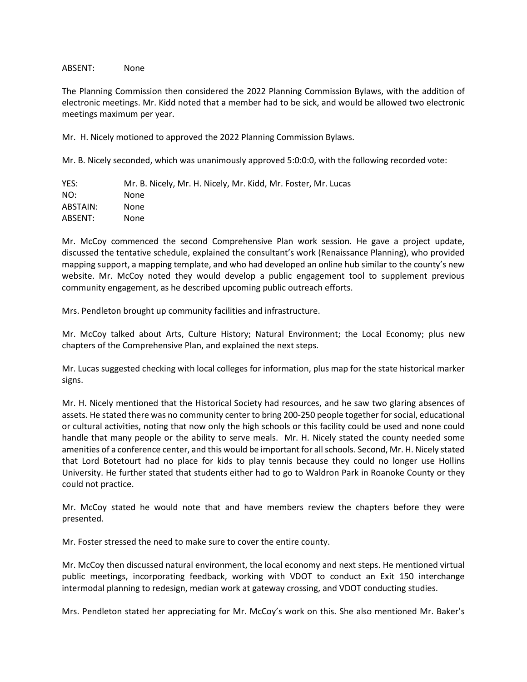### ABSENT: None

The Planning Commission then considered the 2022 Planning Commission Bylaws, with the addition of electronic meetings. Mr. Kidd noted that a member had to be sick, and would be allowed two electronic meetings maximum per year.

Mr. H. Nicely motioned to approved the 2022 Planning Commission Bylaws.

Mr. B. Nicely seconded, which was unanimously approved 5:0:0:0, with the following recorded vote:

| YES:     | Mr. B. Nicely, Mr. H. Nicely, Mr. Kidd, Mr. Foster, Mr. Lucas |
|----------|---------------------------------------------------------------|
| NO:      | None                                                          |
| ABSTAIN: | None                                                          |
| ABSENT:  | None                                                          |

Mr. McCoy commenced the second Comprehensive Plan work session. He gave a project update, discussed the tentative schedule, explained the consultant's work (Renaissance Planning), who provided mapping support, a mapping template, and who had developed an online hub similar to the county's new website. Mr. McCoy noted they would develop a public engagement tool to supplement previous community engagement, as he described upcoming public outreach efforts.

Mrs. Pendleton brought up community facilities and infrastructure.

Mr. McCoy talked about Arts, Culture History; Natural Environment; the Local Economy; plus new chapters of the Comprehensive Plan, and explained the next steps.

Mr. Lucas suggested checking with local colleges for information, plus map for the state historical marker signs.

Mr. H. Nicely mentioned that the Historical Society had resources, and he saw two glaring absences of assets. He stated there was no community center to bring 200-250 people together forsocial, educational or cultural activities, noting that now only the high schools or this facility could be used and none could handle that many people or the ability to serve meals. Mr. H. Nicely stated the county needed some amenities of a conference center, and this would be important for all schools. Second, Mr. H. Nicely stated that Lord Botetourt had no place for kids to play tennis because they could no longer use Hollins University. He further stated that students either had to go to Waldron Park in Roanoke County or they could not practice.

Mr. McCoy stated he would note that and have members review the chapters before they were presented.

Mr. Foster stressed the need to make sure to cover the entire county.

Mr. McCoy then discussed natural environment, the local economy and next steps. He mentioned virtual public meetings, incorporating feedback, working with VDOT to conduct an Exit 150 interchange intermodal planning to redesign, median work at gateway crossing, and VDOT conducting studies.

Mrs. Pendleton stated her appreciating for Mr. McCoy's work on this. She also mentioned Mr. Baker's